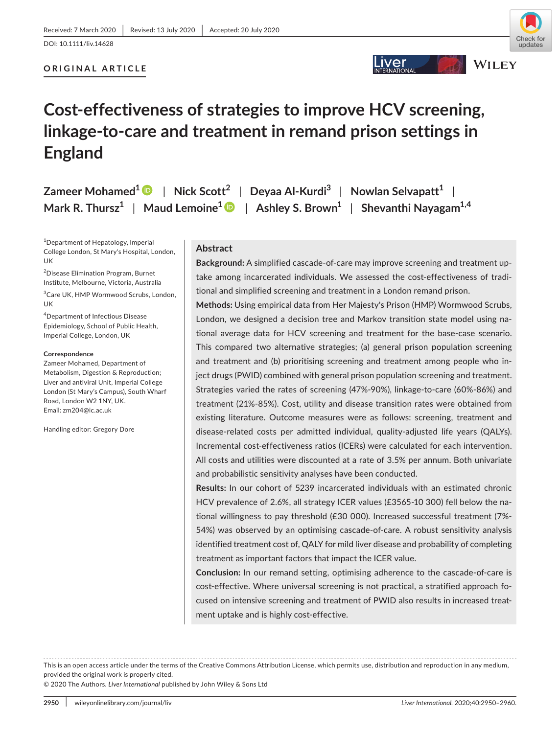## **ORIGINAL ARTICLE**



## .iver \_



# **Cost-effectiveness of strategies to improve HCV screening, linkage-to-care and treatment in remand prison settings in England**

**Zameer Mohamed[1](https://orcid.org/0000-0002-3713-0277)** | **Nick Scott<sup>2</sup>** | **Deyaa Al-Kurdi3** | **Nowlan Selvapatt1** | **Mark R. Thursz1** | **Maud Lemoine1** | **Ashley S. Brown1** | **Shevanthi Nayagam1,4**

1 Department of Hepatology, Imperial College London, St Mary's Hospital, London, UK

2 Disease Elimination Program, Burnet Institute, Melbourne, Victoria, Australia

3 Care UK, HMP Wormwood Scrubs, London, UK

4 Department of Infectious Disease Epidemiology, School of Public Health, Imperial College, London, UK

#### **Correspondence**

Zameer Mohamed, Department of Metabolism, Digestion & Reproduction; Liver and antiviral Unit, Imperial College London (St Mary's Campus), South Wharf Road, London W2 1NY, UK. Email: [zm204@ic.ac.uk](mailto:zm204@ic.ac.uk)

Handling editor: Gregory Dore

#### **Abstract**

**Background:** A simplified cascade-of-care may improve screening and treatment uptake among incarcerated individuals. We assessed the cost-effectiveness of traditional and simplified screening and treatment in a London remand prison.

**Methods:** Using empirical data from Her Majesty's Prison (HMP) Wormwood Scrubs, London, we designed a decision tree and Markov transition state model using national average data for HCV screening and treatment for the base-case scenario. This compared two alternative strategies; (a) general prison population screening and treatment and (b) prioritising screening and treatment among people who inject drugs (PWID) combined with general prison population screening and treatment. Strategies varied the rates of screening (47%-90%), linkage-to-care (60%-86%) and treatment (21%-85%). Cost, utility and disease transition rates were obtained from existing literature. Outcome measures were as follows: screening, treatment and disease-related costs per admitted individual, quality-adjusted life years (QALYs). Incremental cost-effectiveness ratios (ICERs) were calculated for each intervention. All costs and utilities were discounted at a rate of 3.5% per annum. Both univariate and probabilistic sensitivity analyses have been conducted.

**Results:** In our cohort of 5239 incarcerated individuals with an estimated chronic HCV prevalence of 2.6%, all strategy ICER values (£3565-10 300) fell below the national willingness to pay threshold (£30 000). Increased successful treatment (7%- 54%) was observed by an optimising cascade-of-care. A robust sensitivity analysis identified treatment cost of, QALY for mild liver disease and probability of completing treatment as important factors that impact the ICER value.

**Conclusion:** In our remand setting, optimising adherence to the cascade-of-care is cost-effective. Where universal screening is not practical, a stratified approach focused on intensive screening and treatment of PWID also results in increased treatment uptake and is highly cost-effective.

This is an open access article under the terms of the [Creative Commons Attribution](http://creativecommons.org/licenses/by/4.0/) License, which permits use, distribution and reproduction in any medium, provided the original work is properly cited.

© 2020 The Authors. *Liver International* published by John Wiley & Sons Ltd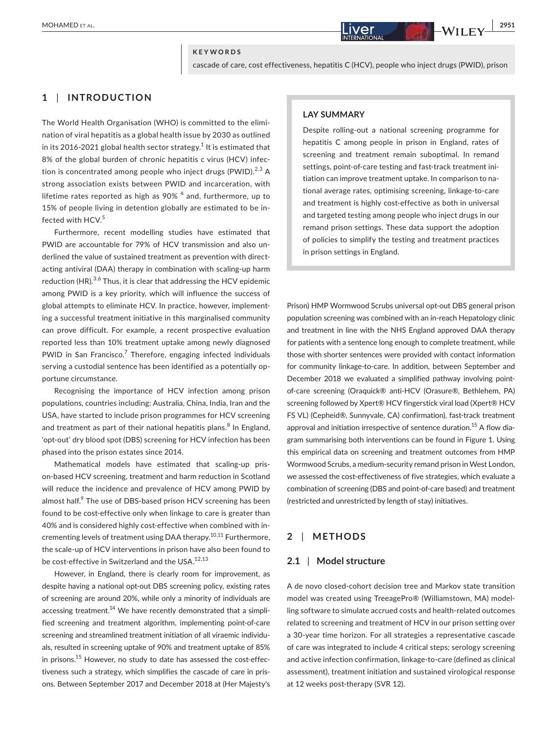#### **KEYWORDS**

cascade of care, cost effectiveness, hepatitis C (HCV), people who inject drugs (PWID), prison

## **1** | **INTRODUCTION**

The World Health Organisation (WHO) is committed to the elimination of viral hepatitis as a global health issue by 2030 as outlined in its 2016-2021 global health sector strategy. $^{\rm 1}$  It is estimated that 8% of the global burden of chronic hepatitis c virus (HCV) infection is concentrated among people who inject drugs (PWID). $^{2,3}$  A strong association exists between PWID and incarceration, with lifetime rates reported as high as 90%  $^4$  and, furthermore, up to 15% of people living in detention globally are estimated to be infected with HCV.<sup>5</sup>

Furthermore, recent modelling studies have estimated that PWID are accountable for 79% of HCV transmission and also underlined the value of sustained treatment as prevention with directacting antiviral (DAA) therapy in combination with scaling-up harm reduction (HR). $3,6$  Thus, it is clear that addressing the HCV epidemic among PWID is a key priority, which will influence the success of global attempts to eliminate HCV. In practice, however, implementing a successful treatment initiative in this marginalised community can prove difficult. For example, a recent prospective evaluation reported less than 10% treatment uptake among newly diagnosed PWID in San Francisco.<sup>7</sup> Therefore, engaging infected individuals serving a custodial sentence has been identified as a potentially opportune circumstance.

Recognising the importance of HCV infection among prison populations, countries including: Australia, China, India, Iran and the USA, have started to include prison programmes for HCV screening and treatment as part of their national hepatitis plans.<sup>8</sup> In England, 'opt-out' dry blood spot (DBS) screening for HCV infection has been phased into the prison estates since 2014.

Mathematical models have estimated that scaling-up prison-based HCV screening, treatment and harm reduction in Scotland will reduce the incidence and prevalence of HCV among PWID by almost half. $^9$  The use of DBS-based prison HCV screening has been found to be cost-effective only when linkage to care is greater than 40% and is considered highly cost-effective when combined with incrementing levels of treatment using DAA therapy.<sup>10,11</sup> Furthermore, the scale-up of HCV interventions in prison have also been found to be cost-effective in Switzerland and the USA.<sup>12,13</sup>

However, in England, there is clearly room for improvement, as despite having a national opt-out DBS screening policy, existing rates of screening are around 20%, while only a minority of individuals are accessing treatment.<sup>14</sup> We have recently demonstrated that a simplified screening and treatment algorithm, implementing point-of-care screening and streamlined treatment initiation of all viraemic individuals, resulted in screening uptake of 90% and treatment uptake of 85% in prisons.<sup>15</sup> However, no study to date has assessed the cost-effectiveness such a strategy, which simplifies the cascade of care in prisons. Between September 2017 and December 2018 at (Her Majesty's

#### **LAY SUMMARY**

Despite rolling-out a national screening programme for hepatitis C among people in prison in England, rates of screening and treatment remain suboptimal. In remand settings, point-of-care testing and fast-track treatment initiation can improve treatment uptake. In comparison to national average rates, optimising screening, linkage-to-care and treatment is highly cost-effective as both in universal and targeted testing among people who inject drugs in our remand prison settings. These data support the adoption of policies to simplify the testing and treatment practices in prison settings in England.

Prison) HMP Wormwood Scrubs universal opt-out DBS general prison population screening was combined with an in-reach Hepatology clinic and treatment in line with the NHS England approved DAA therapy for patients with a sentence long enough to complete treatment, while those with shorter sentences were provided with contact information for community linkage-to-care. In addition, between September and December 2018 we evaluated a simplified pathway involving pointof-care screening (Oraquick® anti-HCV (Orasure®, Bethlehem, PA) screening followed by Xpert® HCV fingerstick viral load (Xpert® HCV FS VL) (Cepheid®, Sunnyvale, CA) confirmation), fast-track treatment approval and initiation irrespective of sentence duration.<sup>15</sup> A flow diagram summarising both interventions can be found in Figure 1. Using this empirical data on screening and treatment outcomes from HMP Wormwood Scrubs, a medium-security remand prison in West London, we assessed the cost-effectiveness of five strategies, which evaluate a combination of screening (DBS and point-of-care based) and treatment (restricted and unrestricted by length of stay) initiatives.

## **2** | **METHODS**

#### **2.1** | **Model structure**

A de novo closed-cohort decision tree and Markov state transition model was created using TreeagePro® (Williamstown, MA) modelling software to simulate accrued costs and health-related outcomes related to screening and treatment of HCV in our prison setting over a 30-year time horizon. For all strategies a representative cascade of care was integrated to include 4 critical steps; serology screening and active infection confirmation, linkage-to-care (defined as clinical assessment), treatment initiation and sustained virological response at 12 weeks post-therapy (SVR 12).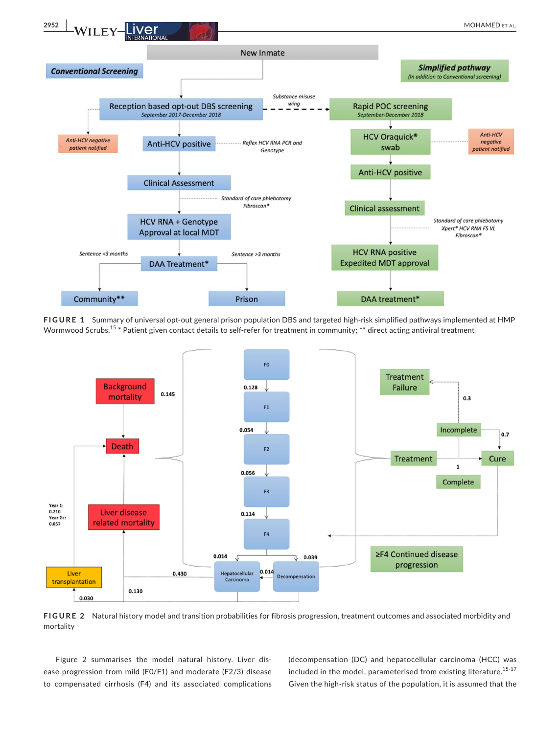



**FIGURE 1** Summary of universal opt-out general prison population DBS and targeted high-risk simplified pathways implemented at HMP Wormwood Scrubs.<sup>15</sup> \* Patient given contact details to self-refer for treatment in community; \*\* direct acting antiviral treatment



**FIGURE 2** Natural history model and transition probabilities for fibrosis progression, treatment outcomes and associated morbidity and mortality

Figure 2 summarises the model natural history. Liver disease progression from mild (F0/F1) and moderate (F2/3) disease to compensated cirrhosis (F4) and its associated complications (decompensation (DC) and hepatocellular carcinoma (HCC) was included in the model, parameterised from existing literature.<sup>15-17</sup> Given the high-risk status of the population, it is assumed that the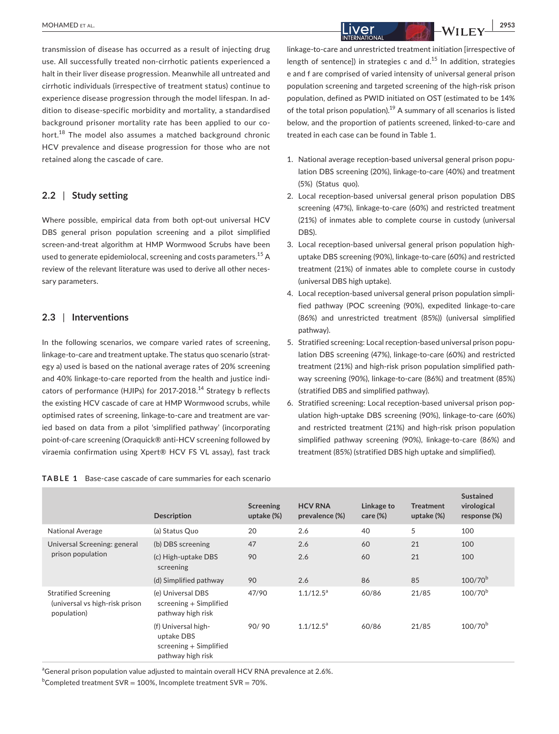transmission of disease has occurred as a result of injecting drug use. All successfully treated non-cirrhotic patients experienced a halt in their liver disease progression. Meanwhile all untreated and cirrhotic individuals (irrespective of treatment status) continue to experience disease progression through the model lifespan. In addition to disease-specific morbidity and mortality, a standardised background prisoner mortality rate has been applied to our cohort.<sup>18</sup> The model also assumes a matched background chronic HCV prevalence and disease progression for those who are not retained along the cascade of care.

#### **2.2** | **Study setting**

Where possible, empirical data from both opt-out universal HCV DBS general prison population screening and a pilot simplified screen-and-treat algorithm at HMP Wormwood Scrubs have been used to generate epidemiolocal, screening and costs parameters.<sup>15</sup> A review of the relevant literature was used to derive all other necessary parameters.

#### **2.3** | **Interventions**

In the following scenarios, we compare varied rates of screening, linkage-to-care and treatment uptake. The status quo scenario (strategy a) used is based on the national average rates of 20% screening and 40% linkage-to-care reported from the health and justice indicators of performance (HJIPs) for 2017-2018.<sup>14</sup> Strategy b reflects the existing HCV cascade of care at HMP Wormwood scrubs, while optimised rates of screening, linkage-to-care and treatment are varied based on data from a pilot 'simplified pathway' (incorporating point-of-care screening (Oraquick® anti-HCV screening followed by viraemia confirmation using Xpert® HCV FS VL assay), fast track

linkage-to-care and unrestricted treatment initiation [irrespective of length of sentence]) in strategies c and  $d<sup>15</sup>$  In addition, strategies e and f are comprised of varied intensity of universal general prison population screening and targeted screening of the high-risk prison population, defined as PWID initiated on OST (estimated to be 14% of the total prison population).<sup>19</sup> A summary of all scenarios is listed below, and the proportion of patients screened, linked-to-care and treated in each case can be found in Table 1.

- 1. National average reception-based universal general prison population DBS screening (20%), linkage-to-care (40%) and treatment (5%) (Status quo).
- 2. Local reception-based universal general prison population DBS screening (47%), linkage-to-care (60%) and restricted treatment (21%) of inmates able to complete course in custody (universal DBS).
- 3. Local reception-based universal general prison population highuptake DBS screening (90%), linkage-to-care (60%) and restricted treatment (21%) of inmates able to complete course in custody (universal DBS high uptake).
- 4. Local reception-based universal general prison population simplified pathway (POC screening (90%), expedited linkage-to-care (86%) and unrestricted treatment (85%)) (universal simplified pathway).
- 5. Stratified screening: Local reception-based universal prison population DBS screening (47%), linkage-to-care (60%) and restricted treatment (21%) and high-risk prison population simplified pathway screening (90%), linkage-to-care (86%) and treatment (85%) (stratified DBS and simplified pathway).
- 6. Stratified screening: Local reception-based universal prison population high-uptake DBS screening (90%), linkage-to-care (60%) and restricted treatment (21%) and high-risk prison population simplified pathway screening (90%), linkage-to-care (86%) and treatment (85%) (stratified DBS high uptake and simplified).

|                                                                              | <b>Description</b>                                                                 | Screening<br>uptake (%) | <b>HCV RNA</b><br>prevalence (%) | Linkage to<br>$care (\%)$ | <b>Treatment</b><br>uptake (%) | <b>Sustained</b><br>virological<br>response (%) |
|------------------------------------------------------------------------------|------------------------------------------------------------------------------------|-------------------------|----------------------------------|---------------------------|--------------------------------|-------------------------------------------------|
| <b>National Average</b>                                                      | (a) Status Quo                                                                     | 20                      | 2.6                              | 40                        | 5                              | 100                                             |
| Universal Screening: general<br>prison population                            | (b) DBS screening                                                                  | 47                      | 2.6                              | 60                        | 21                             | 100                                             |
|                                                                              | (c) High-uptake DBS<br>screening                                                   | 90                      | 2.6                              | 60                        | 21                             | 100                                             |
|                                                                              | (d) Simplified pathway                                                             | 90                      | 2.6                              | 86                        | 85                             | $100/70^{b}$                                    |
| <b>Stratified Screening</b><br>(universal vs high-risk prison<br>population) | (e) Universal DBS<br>screening + Simplified<br>pathway high risk                   | 47/90                   | $1.1/12.5^a$                     | 60/86                     | 21/85                          | $100/70^{b}$                                    |
|                                                                              | (f) Universal high-<br>uptake DBS<br>$screening + Simplified$<br>pathway high risk | 90/90                   | $1.1/12.5^a$                     | 60/86                     | 21/85                          | $100/70^{b}$                                    |

<sup>a</sup>General prison population value adjusted to maintain overall HCV RNA prevalence at 2.6%.

 $b$ Completed treatment SVR = 100%, Incomplete treatment SVR = 70%.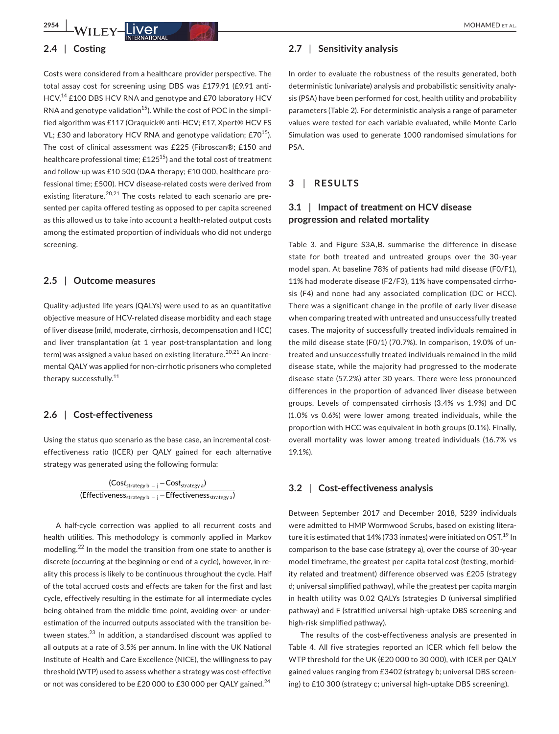#### **2.4** | **Costing**

Costs were considered from a healthcare provider perspective. The total assay cost for screening using DBS was £179.91 (£9.91 anti-HCV,<sup>14</sup> £100 DBS HCV RNA and genotype and £70 laboratory HCV RNA and genotype validation<sup>15</sup>). While the cost of POC in the simplified algorithm was £117 (Oraquick® anti-HCV; £17, Xpert® HCV FS VL; £30 and laboratory HCV RNA and genotype validation;  $£70^{15}$ ). The cost of clinical assessment was £225 (Fibroscan®; £150 and healthcare professional time;  $£125^{15}$ ) and the total cost of treatment and follow-up was £10 500 (DAA therapy; £10 000, healthcare professional time; £500). HCV disease-related costs were derived from existing literature.<sup>20,21</sup> The costs related to each scenario are presented per capita offered testing as opposed to per capita screened as this allowed us to take into account a health-related output costs among the estimated proportion of individuals who did not undergo screening.

#### **2.5** | **Outcome measures**

Quality-adjusted life years (QALYs) were used to as an quantitative objective measure of HCV-related disease morbidity and each stage of liver disease (mild, moderate, cirrhosis, decompensation and HCC) and liver transplantation (at 1 year post-transplantation and long term) was assigned a value based on existing literature.<sup>20,21</sup> An incremental QALY was applied for non-cirrhotic prisoners who completed therapy successfully.<sup>11</sup>

#### **2.6** | **Cost-effectiveness**

Using the status quo scenario as the base case, an incremental costeffectiveness ratio (ICER) per QALY gained for each alternative strategy was generated using the following formula:

> (Cos*t*strategy b <sup>−</sup> <sup>j</sup> −Cos*t*strategy a) (Effectiveness<sub>strategy b − j − Effectiveness<sub>strategy a</sub>)</sub>

A half-cycle correction was applied to all recurrent costs and health utilities. This methodology is commonly applied in Markov modelling.22 In the model the transition from one state to another is discrete (occurring at the beginning or end of a cycle), however, in reality this process is likely to be continuous throughout the cycle. Half of the total accrued costs and effects are taken for the first and last cycle, effectively resulting in the estimate for all intermediate cycles being obtained from the middle time point, avoiding over- or underestimation of the incurred outputs associated with the transition between states.<sup>23</sup> In addition, a standardised discount was applied to all outputs at a rate of 3.5% per annum. In line with the UK National Institute of Health and Care Excellence (NICE), the willingness to pay threshold (WTP) used to assess whether a strategy was cost-effective or not was considered to be £20 000 to £30 000 per QALY gained.<sup>24</sup>

#### **2.7** | **Sensitivity analysis**

In order to evaluate the robustness of the results generated, both deterministic (univariate) analysis and probabilistic sensitivity analysis (PSA) have been performed for cost, health utility and probability parameters (Table 2). For deterministic analysis a range of parameter values were tested for each variable evaluated, while Monte Carlo Simulation was used to generate 1000 randomised simulations for PSA.

## **3** | **RESULTS**

## **3.1** | **Impact of treatment on HCV disease progression and related mortality**

Table 3. and Figure S3A,B. summarise the difference in disease state for both treated and untreated groups over the 30-year model span. At baseline 78% of patients had mild disease (F0/F1), 11% had moderate disease (F2/F3), 11% have compensated cirrhosis (F4) and none had any associated complication (DC or HCC). There was a significant change in the profile of early liver disease when comparing treated with untreated and unsuccessfully treated cases. The majority of successfully treated individuals remained in the mild disease state (F0/1) (70.7%). In comparison, 19.0% of untreated and unsuccessfully treated individuals remained in the mild disease state, while the majority had progressed to the moderate disease state (57.2%) after 30 years. There were less pronounced differences in the proportion of advanced liver disease between groups. Levels of compensated cirrhosis (3.4% vs 1.9%) and DC (1.0% vs 0.6%) were lower among treated individuals, while the proportion with HCC was equivalent in both groups (0.1%). Finally, overall mortality was lower among treated individuals (16.7% vs 19.1%).

#### **3.2** | **Cost-effectiveness analysis**

Between September 2017 and December 2018, 5239 individuals were admitted to HMP Wormwood Scrubs, based on existing literature it is estimated that 14% (733 inmates) were initiated on OST. $^{19}$  In comparison to the base case (strategy a), over the course of 30-year model timeframe, the greatest per capita total cost (testing, morbidity related and treatment) difference observed was £205 (strategy d; universal simplified pathway), while the greatest per capita margin in health utility was 0.02 QALYs (strategies D (universal simplified pathway) and F (stratified universal high-uptake DBS screening and high-risk simplified pathway).

The results of the cost-effectiveness analysis are presented in Table 4. All five strategies reported an ICER which fell below the WTP threshold for the UK (£20 000 to 30 000), with ICER per QALY gained values ranging from £3402 (strategy b; universal DBS screening) to £10 300 (strategy c; universal high-uptake DBS screening).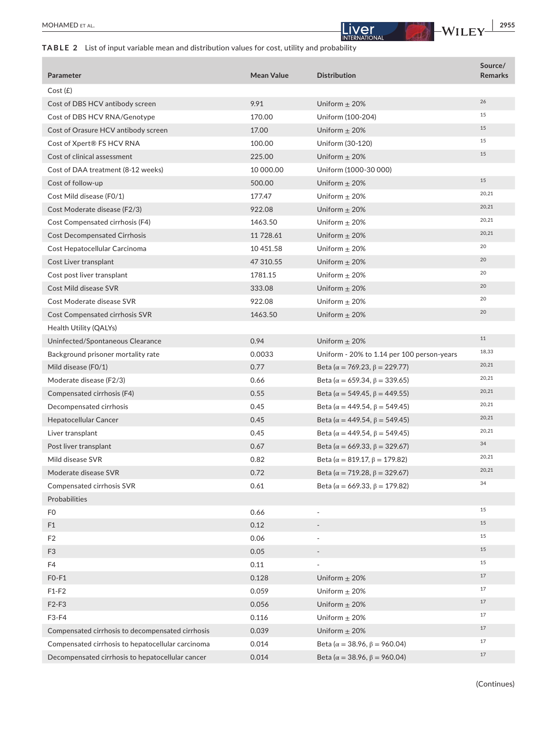×

## **TABLE 2** List of input variable mean and distribution values for cost, utility and probability

| Parameter                                         | <b>Mean Value</b> | <b>Distribution</b>                           | Source/<br><b>Remarks</b> |
|---------------------------------------------------|-------------------|-----------------------------------------------|---------------------------|
| Cost(E)                                           |                   |                                               |                           |
| Cost of DBS HCV antibody screen                   | 9.91              | Uniform $\pm$ 20%                             | 26                        |
| Cost of DBS HCV RNA/Genotype                      | 170.00            | Uniform (100-204)                             | 15                        |
| Cost of Orasure HCV antibody screen               | 17.00             | Uniform $\pm$ 20%                             | 15                        |
| Cost of Xpert® FS HCV RNA                         | 100.00            | Uniform (30-120)                              | 15                        |
| Cost of clinical assessment                       | 225.00            | Uniform $\pm$ 20%                             | 15                        |
| Cost of DAA treatment (8-12 weeks)                | 10 000.00         | Uniform (1000-30 000)                         |                           |
| Cost of follow-up                                 | 500.00            | Uniform $\pm$ 20%                             | 15                        |
| Cost Mild disease (F0/1)                          | 177.47            | Uniform $\pm$ 20%                             | 20,21                     |
| Cost Moderate disease (F2/3)                      | 922.08            | Uniform $\pm$ 20%                             | 20,21                     |
| Cost Compensated cirrhosis (F4)                   | 1463.50           | Uniform $\pm$ 20%                             | 20,21                     |
| <b>Cost Decompensated Cirrhosis</b>               | 11 728.61         | Uniform $\pm$ 20%                             | 20,21                     |
| Cost Hepatocellular Carcinoma                     | 10 451.58         | Uniform $\pm$ 20%                             | 20                        |
| Cost Liver transplant                             | 47 310.55         | Uniform $\pm$ 20%                             | 20                        |
| Cost post liver transplant                        | 1781.15           | Uniform $\pm$ 20%                             | 20                        |
| Cost Mild disease SVR                             | 333.08            | Uniform $\pm$ 20%                             | 20                        |
| Cost Moderate disease SVR                         | 922.08            | Uniform $\pm$ 20%                             | 20                        |
| <b>Cost Compensated cirrhosis SVR</b>             | 1463.50           | Uniform $\pm$ 20%                             | 20                        |
| Health Utility (QALYs)                            |                   |                                               |                           |
| Uninfected/Spontaneous Clearance                  | 0.94              | Uniform $\pm$ 20%                             | 11                        |
| Background prisoner mortality rate                | 0.0033            | Uniform - 20% to 1.14 per 100 person-years    | 18,33                     |
| Mild disease (FO/1)                               | 0.77              | Beta ( $\alpha$ = 769.23, $\beta$ = 229.77)   | 20,21                     |
| Moderate disease (F2/3)                           | 0.66              | Beta ( $\alpha$ = 659.34, $\beta$ = 339.65)   | 20,21                     |
| Compensated cirrhosis (F4)                        | 0.55              | Beta ( $\alpha$ = 549.45, $\beta$ = 449.55)   | 20,21                     |
| Decompensated cirrhosis                           | 0.45              | Beta ( $\alpha$ = 449.54, $\beta$ = 549.45)   | 20,21                     |
| <b>Hepatocellular Cancer</b>                      | 0.45              | Beta ( $\alpha$ = 449.54, $\beta$ = 549.45)   | 20,21                     |
| Liver transplant                                  | 0.45              | Beta ( $\alpha$ = 449.54, $\beta$ = 549.45)   | 20,21                     |
| Post liver transplant                             | 0.67              | Beta ( $\alpha = 669.33$ , $\beta = 329.67$ ) | 34                        |
| Mild disease SVR                                  | 0.82              | Beta ( $\alpha = 819.17$ , $\beta = 179.82$ ) | 20,21                     |
| Moderate disease SVR                              | 0.72              | Beta ( $\alpha = 719.28$ , $\beta = 329.67$ ) | 20,21                     |
| Compensated cirrhosis SVR                         | 0.61              | Beta ( $\alpha = 669.33$ , $\beta = 179.82$ ) | 34                        |
| Probabilities                                     |                   |                                               |                           |
| F <sub>0</sub>                                    | 0.66              | $\blacksquare$                                | 15                        |
| F <sub>1</sub>                                    | 0.12              |                                               | 15                        |
| F <sub>2</sub>                                    | 0.06              |                                               | 15                        |
| F <sub>3</sub>                                    | 0.05              | $\overline{\phantom{a}}$                      | 15                        |
| F4                                                | 0.11              |                                               | 15                        |
| $FO-F1$                                           | 0.128             | Uniform $\pm$ 20%                             | 17                        |
| $F1-F2$                                           | 0.059             | Uniform $\pm$ 20%                             | 17                        |
| $F2-F3$                                           | 0.056             | Uniform $\pm$ 20%                             | 17                        |
| F3-F4                                             | 0.116             | Uniform $\pm 20\%$                            | 17                        |
| Compensated cirrhosis to decompensated cirrhosis  | 0.039             | Uniform $\pm$ 20%                             | $17$                      |
| Compensated cirrhosis to hepatocellular carcinoma | 0.014             | Beta ( $\alpha = 38.96$ , $\beta = 960.04$ )  | 17                        |
| Decompensated cirrhosis to hepatocellular cancer  | 0.014             | Beta ( $\alpha = 38.96$ , $\beta = 960.04$ )  | 17                        |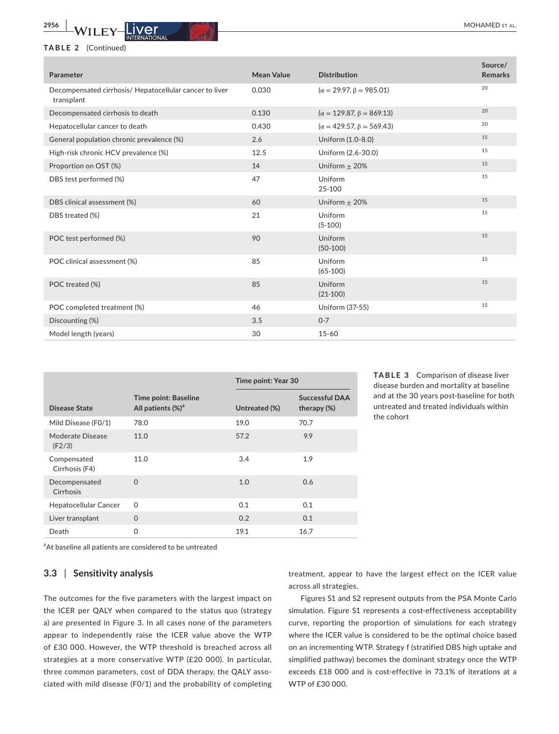#### **TABLE 2** (Continued)

| Parameter                                                             | <b>Mean Value</b> | <b>Distribution</b>                 | Source/<br><b>Remarks</b> |
|-----------------------------------------------------------------------|-------------------|-------------------------------------|---------------------------|
| Decompensated cirrhosis/ Hepatocellular cancer to liver<br>transplant | 0.030             | $(\alpha = 29.97, \beta = 985.01)$  | 20                        |
| Decompensated cirrhosis to death                                      | 0.130             | $(\alpha = 129.87, \beta = 869.13)$ | 20                        |
| Hepatocellular cancer to death                                        | 0.430             | $(\alpha = 429.57, \beta = 569.43)$ | 20                        |
| General population chronic prevalence (%)                             | 2.6               | Uniform (1.0-8.0)                   | 15                        |
| High-risk chronic HCV prevalence (%)                                  | 12.5              | Uniform (2.6-30.0)                  | 15                        |
| Proportion on OST (%)                                                 | 14                | Uniform $\pm$ 20%                   | 15                        |
| DBS test performed (%)                                                | 47                | Uniform<br>25-100                   | 15                        |
| DBS clinical assessment (%)                                           | 60                | Uniform $\pm$ 20%                   | 15                        |
| DBS treated (%)                                                       | 21                | Uniform<br>$(5-100)$                | 15                        |
| POC test performed (%)                                                | 90                | Uniform<br>$(50-100)$               | 15                        |
| POC clinical assessment (%)                                           | 85                | Uniform<br>$(65-100)$               | 15                        |
| POC treated (%)                                                       | 85                | Uniform<br>$(21-100)$               | 15                        |
| POC completed treatment (%)                                           | 46                | Uniform (37-55)                     | 15                        |
| Discounting (%)                                                       | 3.5               | $0 - 7$                             |                           |
| Model length (years)                                                  | 30                | $15 - 60$                           |                           |

|                               |                                                              |               | Time point: Year 30                     |  |  |
|-------------------------------|--------------------------------------------------------------|---------------|-----------------------------------------|--|--|
| Disease State                 | <b>Time point: Baseline</b><br>All patients (%) <sup>a</sup> | Untreated (%) | <b>Successful DAA</b><br>therapy $(\%)$ |  |  |
| Mild Disease (F0/1)           | 78.0                                                         | 19.0          | 70.7                                    |  |  |
| Moderate Disease<br>(F2/3)    | 11.0                                                         | 57.2          | 9.9                                     |  |  |
| Compensated<br>Cirrhosis (F4) | 11.0                                                         | 3.4           | 1.9                                     |  |  |
| Decompensated<br>Cirrhosis    | $\Omega$                                                     | 1.0           | 0.6                                     |  |  |
| Hepatocellular Cancer         | $\Omega$                                                     | 0.1           | 0.1                                     |  |  |
| Liver transplant              | $\Omega$                                                     | 0.2           | 0.1                                     |  |  |
| Death                         | $\Omega$                                                     | 19.1          | 16.7                                    |  |  |

**TABLE 3** Comparison of disease liver disease burden and mortality at baseline and at the 30 years post-baseline for both untreated and treated individuals within the cohort

<sup>a</sup>At baseline all patients are considered to be untreated

## **3.3** | **Sensitivity analysis**

The outcomes for the five parameters with the largest impact on the ICER per QALY when compared to the status quo (strategy a) are presented in Figure 3. In all cases none of the parameters appear to independently raise the ICER value above the WTP of £30 000. However, the WTP threshold is breached across all strategies at a more conservative WTP (£20 000). In particular, three common parameters, cost of DDA therapy, the QALY associated with mild disease (F0/1) and the probability of completing treatment, appear to have the largest effect on the ICER value across all strategies.

Figures S1 and S2 represent outputs from the PSA Monte Carlo simulation. Figure S1 represents a cost-effectiveness acceptability curve, reporting the proportion of simulations for each strategy where the ICER value is considered to be the optimal choice based on an incrementing WTP. Strategy f (stratified DBS high uptake and simplified pathway) becomes the dominant strategy once the WTP exceeds £18 000 and is cost-effective in 73.1% of iterations at a WTP of £30 000.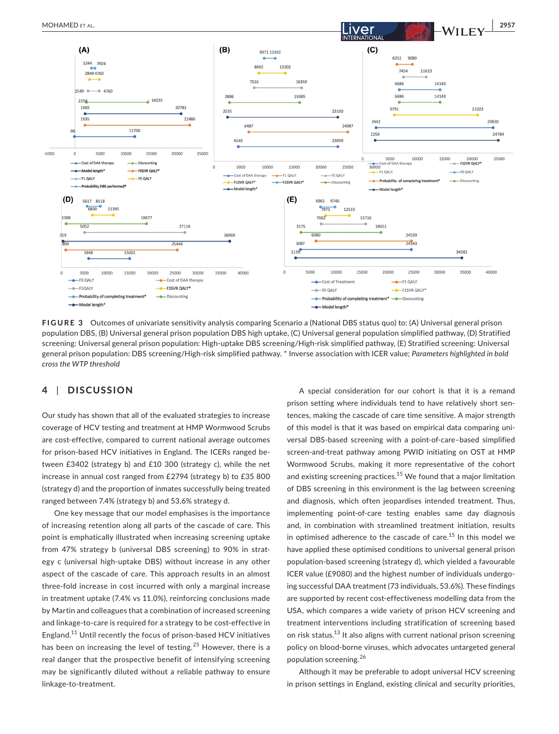

**FIGURE 3**  Outcomes of univariate sensitivity analysis comparing Scenario a (National DBS status quo) to: (A) Universal general prison population DBS, (B) Universal general prison population DBS high uptake, (C) Universal general population simplified pathway, (D) Stratified screening: Universal general prison population: High-uptake DBS screening/High-risk simplified pathway, (E) Stratified screening: Universal general prison population: DBS screening/High-risk simplified pathway. \* Inverse association with ICER value; *Parameters highlighted in bold cross the WTP threshold*

## **4** | **DISCUSSION**

Our study has shown that all of the evaluated strategies to increase coverage of HCV testing and treatment at HMP Wormwood Scrubs are cost-effective, compared to current national average outcomes for prison-based HCV initiatives in England. The ICERs ranged between £3402 (strategy b) and £10 300 (strategy c), while the net increase in annual cost ranged from £2794 (strategy b) to £35 800 (strategy d) and the proportion of inmates successfully being treated ranged between 7.4% (strategy b) and 53.6% strategy d.

One key message that our model emphasises is the importance of increasing retention along all parts of the cascade of care. This point is emphatically illustrated when increasing screening uptake from 47% strategy b (universal DBS screening) to 90% in strategy c (universal high-uptake DBS) without increase in any other aspect of the cascade of care. This approach results in an almost three-fold increase in cost incurred with only a marginal increase in treatment uptake (7.4% vs 11.0%), reinforcing conclusions made by Martin and colleagues that a combination of increased screening and linkage-to-care is required for a strategy to be cost-effective in England.11 Until recently the focus of prison-based HCV initiatives has been on increasing the level of testing.<sup>25</sup> However, there is a real danger that the prospective benefit of intensifying screening may be significantly diluted without a reliable pathway to ensure linkage-to-treatment.

A special consideration for our cohort is that it is a remand prison setting where individuals tend to have relatively short sentences, making the cascade of care time sensitive. A major strength of this model is that it was based on empirical data comparing universal DBS-based screening with a point-of-care–based simplified screen-and-treat pathway among PWID initiating on OST at HMP Wormwood Scrubs, making it more representative of the cohort and existing screening practices.<sup>15</sup> We found that a major limitation of DBS screening in this environment is the lag between screening and diagnosis, which often jeopardises intended treatment. Thus, implementing point-of-care testing enables same day diagnosis and, in combination with streamlined treatment initiation, results in optimised adherence to the cascade of care.<sup>15</sup> In this model we have applied these optimised conditions to universal general prison population-based screening (strategy d), which yielded a favourable ICER value (£9080) and the highest number of individuals undergoing successful DAA treatment (73 individuals, 53.6%). These findings are supported by recent cost-effectiveness modelling data from the USA, which compares a wide variety of prison HCV screening and treatment interventions including stratification of screening based on risk status.<sup>13</sup> It also aligns with current national prison screening policy on blood-borne viruses, which advocates untargeted general population screening.<sup>26</sup>

Although it may be preferable to adopt universal HCV screening in prison settings in England, existing clinical and security priorities,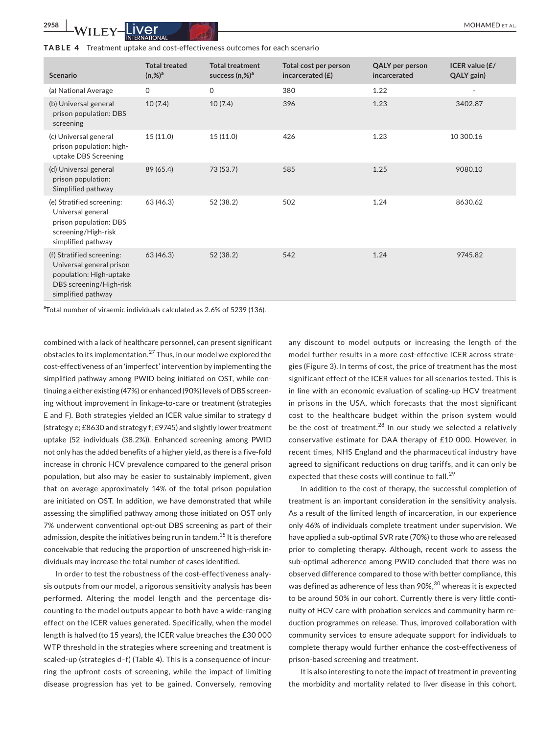| <b>Scenario</b>                                                                                                                   | <b>Total treated</b><br>$(n, %)^{a}$ | <b>Total treatment</b><br>success $(n,%)^a$ | Total cost per person<br>incarcerated $(E)$ | <b>QALY</b> per person<br>incarcerated | ICER value (£/<br>QALY gain) |
|-----------------------------------------------------------------------------------------------------------------------------------|--------------------------------------|---------------------------------------------|---------------------------------------------|----------------------------------------|------------------------------|
| (a) National Average                                                                                                              | 0                                    | 0                                           | 380                                         | 1.22                                   |                              |
| (b) Universal general<br>prison population: DBS<br>screening                                                                      | 10(7.4)                              | 10(7.4)                                     | 396                                         | 1.23                                   | 3402.87                      |
| (c) Universal general<br>prison population: high-<br>uptake DBS Screening                                                         | 15(11.0)                             | 15(11.0)                                    | 426                                         | 1.23                                   | 10 300.16                    |
| (d) Universal general<br>prison population:<br>Simplified pathway                                                                 | 89 (65.4)                            | 73 (53.7)                                   | 585                                         | 1.25                                   | 9080.10                      |
| (e) Stratified screening:<br>Universal general<br>prison population: DBS<br>screening/High-risk<br>simplified pathway             | 63 (46.3)                            | 52 (38.2)                                   | 502                                         | 1.24                                   | 8630.62                      |
| (f) Stratified screening:<br>Universal general prison<br>population: High-uptake<br>DBS screening/High-risk<br>simplified pathway | 63(46.3)                             | 52(38.2)                                    | 542                                         | 1.24                                   | 9745.82                      |

<sup>a</sup>Total number of viraemic individuals calculated as 2.6% of 5239 (136).

combined with a lack of healthcare personnel, can present significant obstacles to its implementation.<sup>27</sup> Thus, in our model we explored the cost-effectiveness of an 'imperfect' intervention by implementing the simplified pathway among PWID being initiated on OST, while continuing a either existing (47%) or enhanced (90%) levels of DBS screening without improvement in linkage-to-care or treatment (strategies E and F). Both strategies yielded an ICER value similar to strategy d (strategy e; £8630 and strategy f; £9745) and slightly lower treatment uptake (52 individuals (38.2%)). Enhanced screening among PWID not only has the added benefits of a higher yield, as there is a five-fold increase in chronic HCV prevalence compared to the general prison population, but also may be easier to sustainably implement, given that on average approximately 14% of the total prison population are initiated on OST. In addition, we have demonstrated that while assessing the simplified pathway among those initiated on OST only 7% underwent conventional opt-out DBS screening as part of their admission, despite the initiatives being run in tandem.<sup>15</sup> It is therefore conceivable that reducing the proportion of unscreened high-risk individuals may increase the total number of cases identified.

In order to test the robustness of the cost-effectiveness analysis outputs from our model, a rigorous sensitivity analysis has been performed. Altering the model length and the percentage discounting to the model outputs appear to both have a wide-ranging effect on the ICER values generated. Specifically, when the model length is halved (to 15 years), the ICER value breaches the £30 000 WTP threshold in the strategies where screening and treatment is scaled-up (strategies d–f) (Table 4). This is a consequence of incurring the upfront costs of screening, while the impact of limiting disease progression has yet to be gained. Conversely, removing any discount to model outputs or increasing the length of the model further results in a more cost-effective ICER across strategies (Figure 3). In terms of cost, the price of treatment has the most significant effect of the ICER values for all scenarios tested. This is in line with an economic evaluation of scaling-up HCV treatment in prisons in the USA, which forecasts that the most significant cost to the healthcare budget within the prison system would be the cost of treatment. $^{28}$  In our study we selected a relatively conservative estimate for DAA therapy of £10 000. However, in recent times, NHS England and the pharmaceutical industry have agreed to significant reductions on drug tariffs, and it can only be expected that these costs will continue to fall.<sup>29</sup>

In addition to the cost of therapy, the successful completion of treatment is an important consideration in the sensitivity analysis. As a result of the limited length of incarceration, in our experience only 46% of individuals complete treatment under supervision. We have applied a sub-optimal SVR rate (70%) to those who are released prior to completing therapy. Although, recent work to assess the sub-optimal adherence among PWID concluded that there was no observed difference compared to those with better compliance, this was defined as adherence of less than  $90\%$ ,  $^{30}$  whereas it is expected to be around 50% in our cohort. Currently there is very little continuity of HCV care with probation services and community harm reduction programmes on release. Thus, improved collaboration with community services to ensure adequate support for individuals to complete therapy would further enhance the cost-effectiveness of prison-based screening and treatment.

It is also interesting to note the impact of treatment in preventing the morbidity and mortality related to liver disease in this cohort.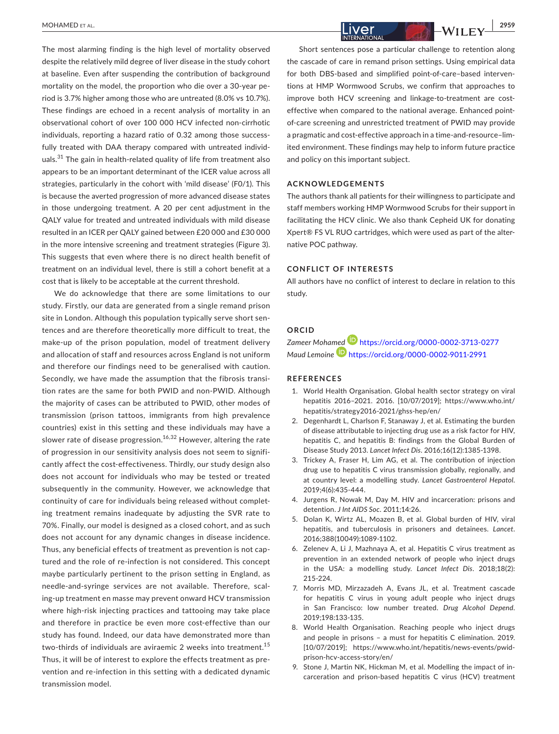The most alarming finding is the high level of mortality observed despite the relatively mild degree of liver disease in the study cohort at baseline. Even after suspending the contribution of background mortality on the model, the proportion who die over a 30-year period is 3.7% higher among those who are untreated (8.0% vs 10.7%). These findings are echoed in a recent analysis of mortality in an observational cohort of over 100 000 HCV infected non-cirrhotic individuals, reporting a hazard ratio of 0.32 among those successfully treated with DAA therapy compared with untreated individuals.<sup>31</sup> The gain in health-related quality of life from treatment also appears to be an important determinant of the ICER value across all strategies, particularly in the cohort with 'mild disease' (F0/1). This is because the averted progression of more advanced disease states in those undergoing treatment. A 20 per cent adjustment in the QALY value for treated and untreated individuals with mild disease resulted in an ICER per QALY gained between £20 000 and £30 000 in the more intensive screening and treatment strategies (Figure 3). This suggests that even where there is no direct health benefit of treatment on an individual level, there is still a cohort benefit at a cost that is likely to be acceptable at the current threshold.

We do acknowledge that there are some limitations to our study. Firstly, our data are generated from a single remand prison site in London. Although this population typically serve short sentences and are therefore theoretically more difficult to treat, the make-up of the prison population, model of treatment delivery and allocation of staff and resources across England is not uniform and therefore our findings need to be generalised with caution. Secondly, we have made the assumption that the fibrosis transition rates are the same for both PWID and non-PWID. Although the majority of cases can be attributed to PWID, other modes of transmission (prison tattoos, immigrants from high prevalence countries) exist in this setting and these individuals may have a slower rate of disease progression.<sup>16,32</sup> However, altering the rate of progression in our sensitivity analysis does not seem to significantly affect the cost-effectiveness. Thirdly, our study design also does not account for individuals who may be tested or treated subsequently in the community. However, we acknowledge that continuity of care for individuals being released without completing treatment remains inadequate by adjusting the SVR rate to 70%. Finally, our model is designed as a closed cohort, and as such does not account for any dynamic changes in disease incidence. Thus, any beneficial effects of treatment as prevention is not captured and the role of re-infection is not considered. This concept maybe particularly pertinent to the prison setting in England, as needle-and-syringe services are not available. Therefore, scaling-up treatment en masse may prevent onward HCV transmission where high-risk injecting practices and tattooing may take place and therefore in practice be even more cost-effective than our study has found. Indeed, our data have demonstrated more than two-thirds of individuals are aviraemic 2 weeks into treatment.<sup>15</sup> Thus, it will be of interest to explore the effects treatment as prevention and re-infection in this setting with a dedicated dynamic transmission model.

Short sentences pose a particular challenge to retention along the cascade of care in remand prison settings. Using empirical data for both DBS-based and simplified point-of-care–based interventions at HMP Wormwood Scrubs, we confirm that approaches to improve both HCV screening and linkage-to-treatment are costeffective when compared to the national average. Enhanced pointof-care screening and unrestricted treatment of PWID may provide a pragmatic and cost-effective approach in a time-and-resource–limited environment. These findings may help to inform future practice and policy on this important subject.

#### **ACKNOWLEDGEMENTS**

The authors thank all patients for their willingness to participate and staff members working HMP Wormwood Scrubs for their support in facilitating the HCV clinic. We also thank Cepheid UK for donating Xpert® FS VL RUO cartridges, which were used as part of the alternative POC pathway.

#### **CONFLICT OF INTERESTS**

All authors have no conflict of interest to declare in relation to this study.

#### **ORCID**

*Zameer Moha[med](https://orcid.org/0000-0002-9011-2991)* <https://orcid.org/0000-0002-3713-0277> *Maud Lemoine* <https://orcid.org/0000-0002-9011-2991>

#### **REFERENCES**

- 1. World Health Organisation. Global health sector strategy on viral hepatitis 2016–2021. 2016. [10/07/2019]; [https://www.who.int/](https://www.who.int/hepatitis/strategy2016-2021/ghss-hep/en/) [hepatitis/strategy2016-2021/ghss-hep/en/](https://www.who.int/hepatitis/strategy2016-2021/ghss-hep/en/)
- 2. Degenhardt L, Charlson F, Stanaway J, et al. Estimating the burden of disease attributable to injecting drug use as a risk factor for HIV, hepatitis C, and hepatitis B: findings from the Global Burden of Disease Study 2013. *Lancet Infect Dis*. 2016;16(12):1385-1398.
- 3. Trickey A, Fraser H, Lim AG, et al. The contribution of injection drug use to hepatitis C virus transmission globally, regionally, and at country level: a modelling study. *Lancet Gastroenterol Hepatol*. 2019;4(6):435-444.
- 4. Jurgens R, Nowak M, Day M. HIV and incarceration: prisons and detention. *J Int AIDS Soc*. 2011;14:26.
- 5. Dolan K, Wirtz AL, Moazen B, et al. Global burden of HIV, viral hepatitis, and tuberculosis in prisoners and detainees. *Lancet*. 2016;388(10049):1089-1102.
- 6. Zelenev A, Li J, Mazhnaya A, et al. Hepatitis C virus treatment as prevention in an extended network of people who inject drugs in the USA: a modelling study. *Lancet Infect Dis*. 2018;18(2): 215-224.
- 7. Morris MD, Mirzazadeh A, Evans JL, et al. Treatment cascade for hepatitis C virus in young adult people who inject drugs in San Francisco: low number treated. *Drug Alcohol Depend*. 2019;198:133-135.
- 8. World Health Organisation. Reaching people who inject drugs and people in prisons – a must for hepatitis C elimination. 2019. [10/07/2019]; [https://www.who.int/hepatitis/news-events/pwid](https://www.who.int/hepatitis/news-events/pwid-prison-hcv-access-story/en/)[prison-hcv-access-story/en/](https://www.who.int/hepatitis/news-events/pwid-prison-hcv-access-story/en/)
- 9. Stone J, Martin NK, Hickman M, et al. Modelling the impact of incarceration and prison-based hepatitis C virus (HCV) treatment